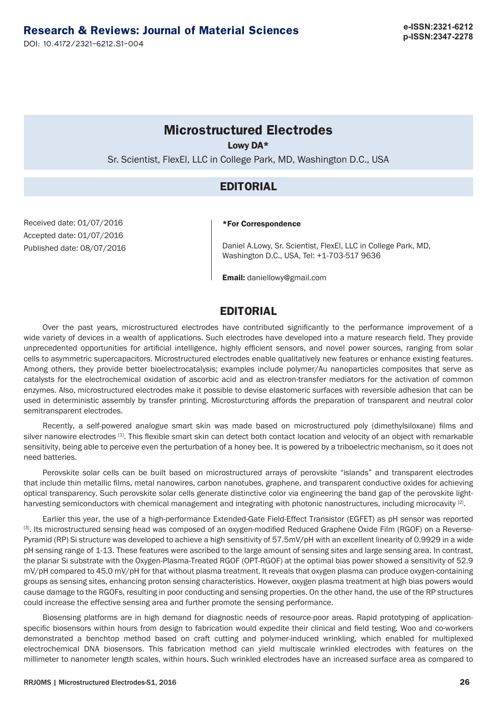DOI: 10.4172/2321-6212.S1-004

## **Microstructured Electrodes**

Lowy DA\*

Sr. Scientist, FlexEl, LLC in College Park, MD, Washington D.C., USA

#### **EDITORIAL**

Received date: 01/07/2016 Accepted date: 01/07/2016 Published date: 08/07/2016

#### \*For Correspondence

Daniel A.Lowy, Sr. Scientist, FlexEl, LLC in College Park, MD, Washington D.C., USA, Tel: +1-703-517 9636

Email: daniellowy@gmail.com

#### **EDITORIAL**

Over the past years, microstructured electrodes have contributed significantly to the performance improvement of a wide variety of devices in a wealth of applications. Such electrodes have developed into a mature research field. They provide unprecedented opportunities for artificial intelligence, highly efficient sensors, and novel power sources, ranging from solar cells to asymmetric supercapacitors. Microstructured electrodes enable qualitatively new features or enhance existing features. Among others, they provide better bioelectrocatalysis; examples include polymer/Au nanoparticles composites that serve as catalysts for the electrochemical oxidation of ascorbic acid and as electron-transfer mediators for the activation of common enzymes. Also, microstructured electrodes make it possible to devise elastomeric surfaces with reversible adhesion that can be used in deterministic assembly by transfer printing. Microsturcturing affords the preparation of transparent and neutral color semitransparent electrodes.

Recently, a self-powered analogue smart skin was made based on microstructured poly (dimethylsiloxane) films and silver nanowire electrodes [1]. This flexible smart skin can detect both contact location and velocity of an object with remarkable sensitivity, being able to perceive even the perturbation of a honey bee. It is powered by a triboelectric mechanism, so it does not need batteries.

Perovskite solar cells can be built based on microstructured arrays of perovskite "islands" and transparent electrodes that include thin metallic films, metal nanowires, carbon nanotubes, graphene, and transparent conductive oxides for achieving optical transparency. Such perovskite solar cells generate distinctive color via engineering the band gap of the perovskite lightharvesting semiconductors with chemical management and integrating with photonic nanostructures, including microcavity [2].

Earlier this year, the use of a high-performance Extended-Gate Field-Effect Transistor (EGFET) as pH sensor was reported [3]. Its microstructured sensing head was composed of an oxygen-modified Reduced Graphene Oxide Film (RGOF) on a Reverse-Pyramid (RP) Si structure was developed to achieve a high sensitivity of 57.5mV/pH with an excellent linearity of 0.9929 in a wide pH sensing range of 1-13. These features were ascribed to the large amount of sensing sites and large sensing area. In contrast, the planar Si substrate with the Oxygen-Plasma-Treated RGOF (OPT-RGOF) at the optimal bias power showed a sensitivity of 52.9 mV/pH compared to 45.0 mV/pH for that without plasma treatment. It reveals that oxygen plasma can produce oxygen-containing groups as sensing sites, enhancing proton sensing characteristics. However, oxygen plasma treatment at high bias powers would cause damage to the RGOFs, resulting in poor conducting and sensing properties. On the other hand, the use of the RP structures could increase the effective sensing area and further promote the sensing performance.

Biosensing platforms are in high demand for diagnostic needs of resource-poor areas. Rapid prototyping of applicationspecific biosensors within hours from design to fabrication would expedite their clinical and field testing. Woo and co-workers demonstrated a benchtop method based on craft cutting and polymer-induced wrinkling, which enabled for multiplexed electrochemical DNA biosensors. This fabrication method can yield multiscale wrinkled electrodes with features on the millimeter to nanometer length scales, within hours. Such wrinkled electrodes have an increased surface area as compared to